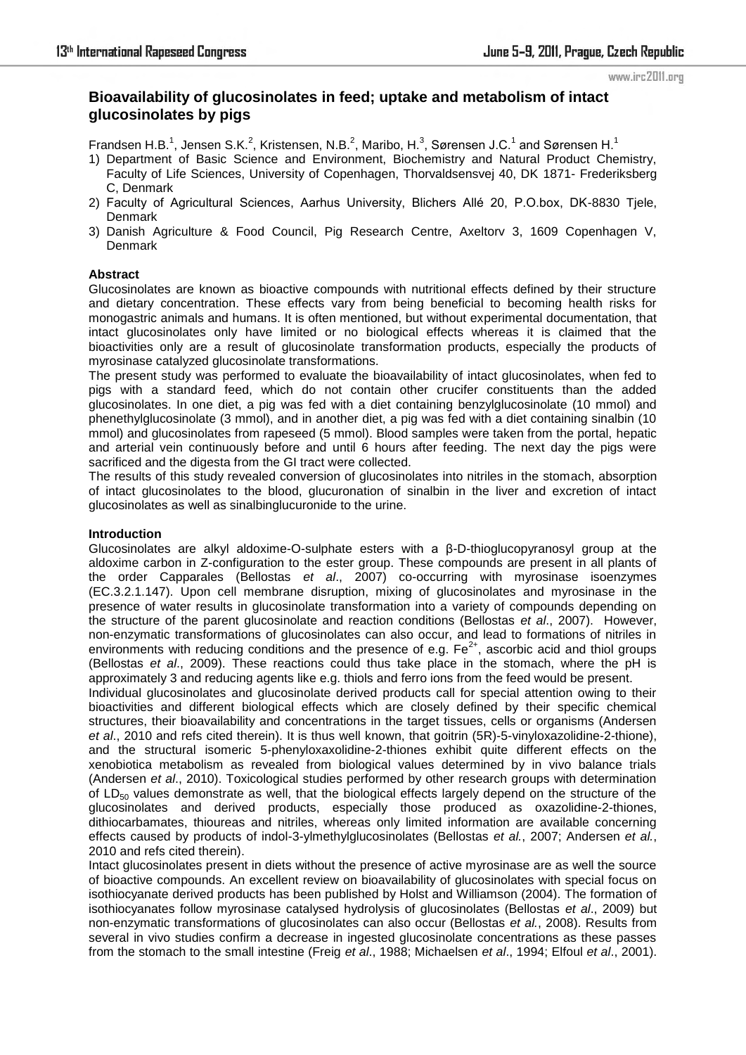# **Bioavailability of glucosinolates in feed; uptake and metabolism of intact glucosinolates by pigs**

Frandsen H.B.<sup>1</sup>, Jensen S.K.<sup>2</sup>, Kristensen, N.B.<sup>2</sup>, Maribo, H.<sup>3</sup>, Sørensen J.C.<sup>1</sup> and Sørensen H.<sup>1</sup>

- 1) Department of Basic Science and Environment, Biochemistry and Natural Product Chemistry, Faculty of Life Sciences, University of Copenhagen, Thorvaldsensvej 40, DK 1871- Frederiksberg C, Denmark
- 2) Faculty of Agricultural Sciences, Aarhus University, Blichers Allé 20, P.O.box, DK-8830 Tjele, **Denmark**
- 3) Danish Agriculture & Food Council, Pig Research Centre, Axeltorv 3, 1609 Copenhagen V, **Denmark**

# **Abstract**

Glucosinolates are known as bioactive compounds with nutritional effects defined by their structure and dietary concentration. These effects vary from being beneficial to becoming health risks for monogastric animals and humans. It is often mentioned, but without experimental documentation, that intact glucosinolates only have limited or no biological effects whereas it is claimed that the bioactivities only are a result of glucosinolate transformation products, especially the products of myrosinase catalyzed glucosinolate transformations.

The present study was performed to evaluate the bioavailability of intact glucosinolates, when fed to pigs with a standard feed, which do not contain other crucifer constituents than the added glucosinolates. In one diet, a pig was fed with a diet containing benzylglucosinolate (10 mmol) and phenethylglucosinolate (3 mmol), and in another diet, a pig was fed with a diet containing sinalbin (10 mmol) and glucosinolates from rapeseed (5 mmol). Blood samples were taken from the portal, hepatic and arterial vein continuously before and until 6 hours after feeding. The next day the pigs were sacrificed and the digesta from the GI tract were collected.

The results of this study revealed conversion of glucosinolates into nitriles in the stomach, absorption of intact glucosinolates to the blood, glucuronation of sinalbin in the liver and excretion of intact glucosinolates as well as sinalbinglucuronide to the urine.

# **Introduction**

Glucosinolates are alkyl aldoxime-O-sulphate esters with a β-D-thioglucopyranosyl group at the aldoxime carbon in Z-configuration to the ester group. These compounds are present in all plants of the order Capparales (Bellostas *et al*., 2007) co-occurring with myrosinase isoenzymes (EC.3.2.1.147). Upon cell membrane disruption, mixing of glucosinolates and myrosinase in the presence of water results in glucosinolate transformation into a variety of compounds depending on the structure of the parent glucosinolate and reaction conditions (Bellostas *et al*., 2007). However, non-enzymatic transformations of glucosinolates can also occur, and lead to formations of nitriles in environments with reducing conditions and the presence of e.g.  $Fe^{2+}$ , ascorbic acid and thiol groups (Bellostas *et al*., 2009). These reactions could thus take place in the stomach, where the pH is approximately 3 and reducing agents like e.g. thiols and ferro ions from the feed would be present.

Individual glucosinolates and glucosinolate derived products call for special attention owing to their bioactivities and different biological effects which are closely defined by their specific chemical structures, their bioavailability and concentrations in the target tissues, cells or organisms (Andersen *et al*., 2010 and refs cited therein). It is thus well known, that goitrin (5R)-5-vinyloxazolidine-2-thione), and the structural isomeric 5-phenyloxaxolidine-2-thiones exhibit quite different effects on the xenobiotica metabolism as revealed from biological values determined by in vivo balance trials (Andersen *et al*., 2010). Toxicological studies performed by other research groups with determination of  $LD_{50}$  values demonstrate as well, that the biological effects largely depend on the structure of the glucosinolates and derived products, especially those produced as oxazolidine-2-thiones, dithiocarbamates, thioureas and nitriles, whereas only limited information are available concerning effects caused by products of indol-3-ylmethylglucosinolates (Bellostas *et al.*, 2007; Andersen *et al.*, 2010 and refs cited therein).

Intact glucosinolates present in diets without the presence of active myrosinase are as well the source of bioactive compounds. An excellent review on bioavailability of glucosinolates with special focus on isothiocyanate derived products has been published by Holst and Williamson (2004). The formation of isothiocyanates follow myrosinase catalysed hydrolysis of glucosinolates (Bellostas *et al*., 2009) but non-enzymatic transformations of glucosinolates can also occur (Bellostas *et al.*, 2008). Results from several in vivo studies confirm a decrease in ingested glucosinolate concentrations as these passes from the stomach to the small intestine (Freig *et al*., 1988; Michaelsen *et al*., 1994; Elfoul *et al*., 2001).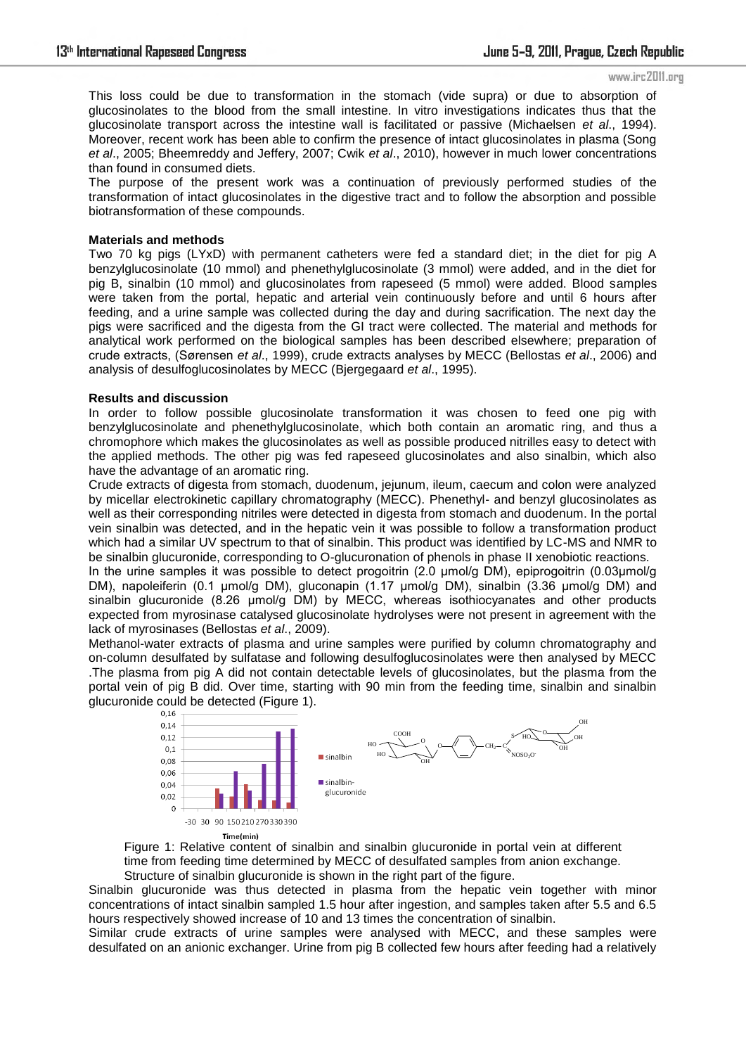### www.irc2011.org

This loss could be due to transformation in the stomach (vide supra) or due to absorption of glucosinolates to the blood from the small intestine. In vitro investigations indicates thus that the glucosinolate transport across the intestine wall is facilitated or passive (Michaelsen *et al*., 1994). Moreover, recent work has been able to confirm the presence of intact glucosinolates in plasma (Song *et al*., 2005; Bheemreddy and Jeffery, 2007; Cwik *et al*., 2010), however in much lower concentrations than found in consumed diets.

The purpose of the present work was a continuation of previously performed studies of the transformation of intact glucosinolates in the digestive tract and to follow the absorption and possible biotransformation of these compounds.

# **Materials and methods**

Two 70 kg pigs (LYxD) with permanent catheters were fed a standard diet; in the diet for pig A benzylglucosinolate (10 mmol) and phenethylglucosinolate (3 mmol) were added, and in the diet for pig B, sinalbin (10 mmol) and glucosinolates from rapeseed (5 mmol) were added. Blood samples were taken from the portal, hepatic and arterial vein continuously before and until 6 hours after feeding, and a urine sample was collected during the day and during sacrification. The next day the pigs were sacrificed and the digesta from the GI tract were collected. The material and methods for analytical work performed on the biological samples has been described elsewhere; preparation of crude extracts, (Sørensen *et al*., 1999), crude extracts analyses by MECC (Bellostas *et al*., 2006) and analysis of desulfoglucosinolates by MECC (Bjergegaard *et al*., 1995).

## **Results and discussion**

In order to follow possible glucosinolate transformation it was chosen to feed one pig with benzylglucosinolate and phenethylglucosinolate, which both contain an aromatic ring, and thus a chromophore which makes the glucosinolates as well as possible produced nitrilles easy to detect with the applied methods. The other pig was fed rapeseed glucosinolates and also sinalbin, which also have the advantage of an aromatic ring.

Crude extracts of digesta from stomach, duodenum, jejunum, ileum, caecum and colon were analyzed by micellar electrokinetic capillary chromatography (MECC). Phenethyl- and benzyl glucosinolates as well as their corresponding nitriles were detected in digesta from stomach and duodenum. In the portal vein sinalbin was detected, and in the hepatic vein it was possible to follow a transformation product which had a similar UV spectrum to that of sinalbin. This product was identified by LC-MS and NMR to be sinalbin glucuronide, corresponding to O-glucuronation of phenols in phase II xenobiotic reactions.

In the urine samples it was possible to detect progoitrin (2.0 µmol/g DM), epiprogoitrin (0.03µmol/g DM), napoleiferin (0.1 µmol/g DM), gluconapin (1.17 µmol/g DM), sinalbin (3.36 µmol/g DM) and sinalbin glucuronide (8.26 µmol/g DM) by MECC, whereas isothiocyanates and other products expected from myrosinase catalysed glucosinolate hydrolyses were not present in agreement with the lack of myrosinases (Bellostas *et al*., 2009).

Methanol-water extracts of plasma and urine samples were purified by column chromatography and on-column desulfated by sulfatase and following desulfoglucosinolates were then analysed by MECC .The plasma from pig A did not contain detectable levels of glucosinolates, but the plasma from the portal vein of pig B did. Over time, starting with 90 min from the feeding time, sinalbin and sinalbin glucuronide could be detected (Figure 1).





Figure 1: Relative content of sinalbin and sinalbin glucuronide in portal vein at different time from feeding time determined by MECC of desulfated samples from anion exchange. Structure of sinalbin glucuronide is shown in the right part of the figure.

Sinalbin glucuronide was thus detected in plasma from the hepatic vein together with minor concentrations of intact sinalbin sampled 1.5 hour after ingestion, and samples taken after 5.5 and 6.5 hours respectively showed increase of 10 and 13 times the concentration of sinalbin.

Similar crude extracts of urine samples were analysed with MECC, and these samples were desulfated on an anionic exchanger. Urine from pig B collected few hours after feeding had a relatively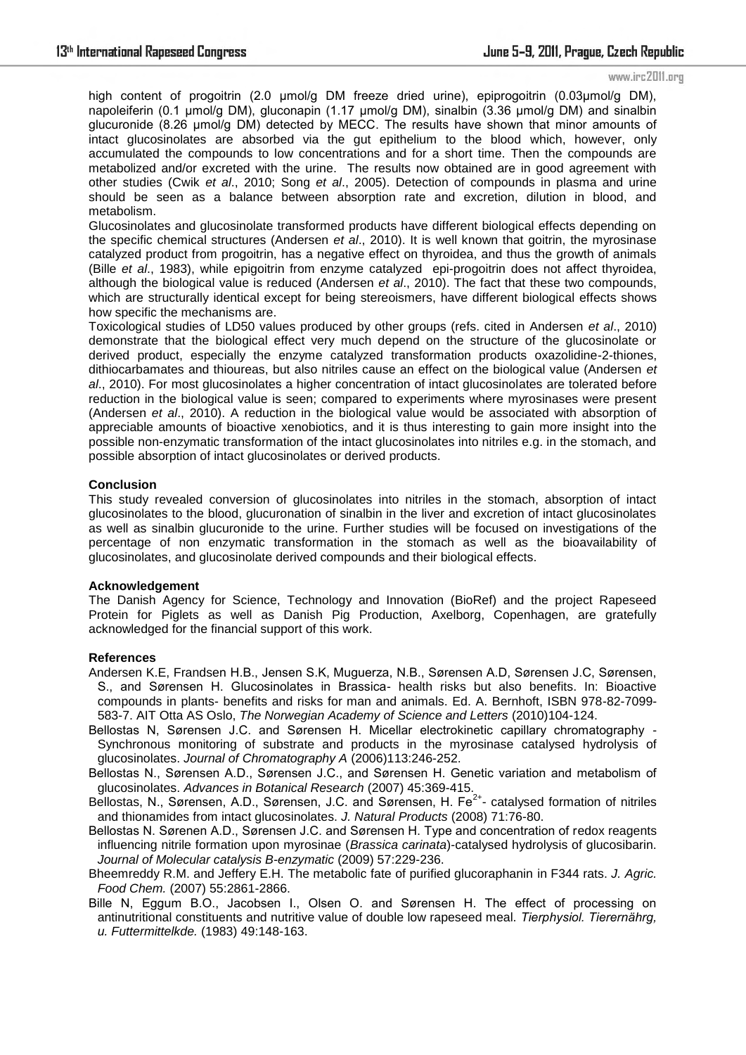www.irc2011.org

high content of progoitrin (2.0 µmol/g DM freeze dried urine), epiprogoitrin (0.03µmol/g DM), napoleiferin (0.1 µmol/g DM), gluconapin (1.17 µmol/g DM), sinalbin (3.36 µmol/g DM) and sinalbin glucuronide (8.26 µmol/g DM) detected by MECC. The results have shown that minor amounts of intact glucosinolates are absorbed via the gut epithelium to the blood which, however, only accumulated the compounds to low concentrations and for a short time. Then the compounds are metabolized and/or excreted with the urine. The results now obtained are in good agreement with other studies (Cwik *et al*., 2010; Song *et al*., 2005). Detection of compounds in plasma and urine should be seen as a balance between absorption rate and excretion, dilution in blood, and metabolism.

Glucosinolates and glucosinolate transformed products have different biological effects depending on the specific chemical structures (Andersen *et al*., 2010). It is well known that goitrin, the myrosinase catalyzed product from progoitrin, has a negative effect on thyroidea, and thus the growth of animals (Bille *et al*., 1983), while epigoitrin from enzyme catalyzed epi-progoitrin does not affect thyroidea, although the biological value is reduced (Andersen *et al*., 2010). The fact that these two compounds, which are structurally identical except for being stereoismers, have different biological effects shows how specific the mechanisms are.

Toxicological studies of LD50 values produced by other groups (refs. cited in Andersen *et al*., 2010) demonstrate that the biological effect very much depend on the structure of the glucosinolate or derived product, especially the enzyme catalyzed transformation products oxazolidine-2-thiones, dithiocarbamates and thioureas, but also nitriles cause an effect on the biological value (Andersen *et al*., 2010). For most glucosinolates a higher concentration of intact glucosinolates are tolerated before reduction in the biological value is seen; compared to experiments where myrosinases were present (Andersen *et al*., 2010). A reduction in the biological value would be associated with absorption of appreciable amounts of bioactive xenobiotics, and it is thus interesting to gain more insight into the possible non-enzymatic transformation of the intact glucosinolates into nitriles e.g. in the stomach, and possible absorption of intact glucosinolates or derived products.

# **Conclusion**

This study revealed conversion of glucosinolates into nitriles in the stomach, absorption of intact glucosinolates to the blood, glucuronation of sinalbin in the liver and excretion of intact glucosinolates as well as sinalbin glucuronide to the urine. Further studies will be focused on investigations of the percentage of non enzymatic transformation in the stomach as well as the bioavailability of glucosinolates, and glucosinolate derived compounds and their biological effects.

# **Acknowledgement**

The Danish Agency for Science, Technology and Innovation (BioRef) and the project Rapeseed Protein for Piglets as well as Danish Pig Production, Axelborg, Copenhagen, are gratefully acknowledged for the financial support of this work.

# **References**

- Andersen K.E, Frandsen H.B., Jensen S.K, Muguerza, N.B., Sørensen A.D, Sørensen J.C, Sørensen, S., and Sørensen H. Glucosinolates in Brassica- health risks but also benefits. In: Bioactive compounds in plants- benefits and risks for man and animals. Ed. A. Bernhoft, ISBN 978-82-7099- 583-7. AIT Otta AS Oslo, *The Norwegian Academy of Science and Letters* (2010)104-124.
- Bellostas N, Sørensen J.C. and Sørensen H. Micellar electrokinetic capillary chromatography Synchronous monitoring of substrate and products in the myrosinase catalysed hydrolysis of glucosinolates. *Journal of Chromatography A* (2006)113:246-252.
- Bellostas N., Sørensen A.D., Sørensen J.C., and Sørensen H. Genetic variation and metabolism of glucosinolates. *Advances in Botanical Research* (2007) 45:369-415.
- Bellostas, N., Sørensen, A.D., Sørensen, J.C. and Sørensen, H. Fe<sup>2+</sup>- catalysed formation of nitriles and thionamides from intact glucosinolates. *J. Natural Products* (2008) 71:76-80.
- Bellostas N. Sørenen A.D., Sørensen J.C. and Sørensen H. Type and concentration of redox reagents influencing nitrile formation upon myrosinae (*Brassica carinata*)-catalysed hydrolysis of glucosibarin. *Journal of Molecular catalysis B-enzymatic* (2009) 57:229-236.
- Bheemreddy R.M. and Jeffery E.H. The metabolic fate of purified glucoraphanin in F344 rats. *J. Agric. Food Chem.* (2007) 55:2861-2866.
- Bille N, Eggum B.O., Jacobsen I., Olsen O. and Sørensen H. The effect of processing on antinutritional constituents and nutritive value of double low rapeseed meal. *Tierphysiol. Tierernährg, u. Futtermittelkde.* (1983) 49:148-163.